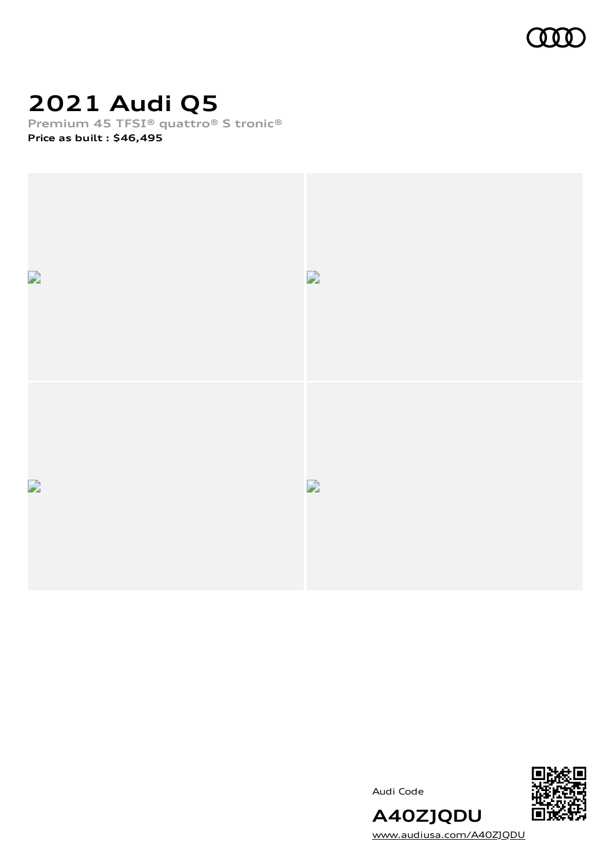

# **2021 Audi Q5**

**Premium 45 TFSI® quattro® S tronic®**

**Price as built [:](#page-9-0) \$46,495**



Audi Code



[www.audiusa.com/A40ZJQDU](https://www.audiusa.com/A40ZJQDU)

**A40ZJQDU**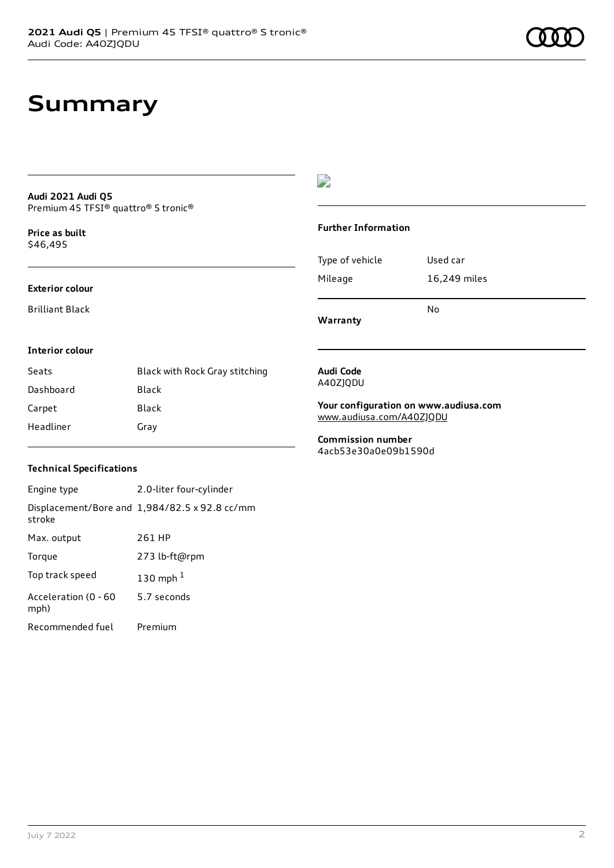# **Summary**

#### **Audi 2021 Audi Q5** Premium 45 TFSI® quattro® S tronic®

**Price as buil[t](#page-9-0)** \$46,495

#### **Exterior colour**

Brilliant Black

#### $\overline{\phantom{a}}$

#### **Further Information**

|                 | N٥           |
|-----------------|--------------|
| Mileage         | 16,249 miles |
| Type of vehicle | Used car     |

**Warranty**

#### **Interior colour**

| Seats     | Black with Rock Gray stitching |
|-----------|--------------------------------|
| Dashboard | Black                          |
| Carpet    | Black                          |
| Headliner | Gray                           |

#### **Audi Code** A40ZJQDU

**Your configuration on www.audiusa.com** [www.audiusa.com/A40ZJQDU](https://www.audiusa.com/A40ZJQDU)

**Commission number** 4acb53e30a0e09b1590d

#### **Technical Specifications**

| Engine type                  | 2.0-liter four-cylinder                       |
|------------------------------|-----------------------------------------------|
| stroke                       | Displacement/Bore and 1,984/82.5 x 92.8 cc/mm |
| Max. output                  | 261 HP                                        |
| Torque                       | 273 lb-ft@rpm                                 |
| Top track speed              | 130 mph $1$                                   |
| Acceleration (0 - 60<br>mph) | 5.7 seconds                                   |
| Recommended fuel             | Premium                                       |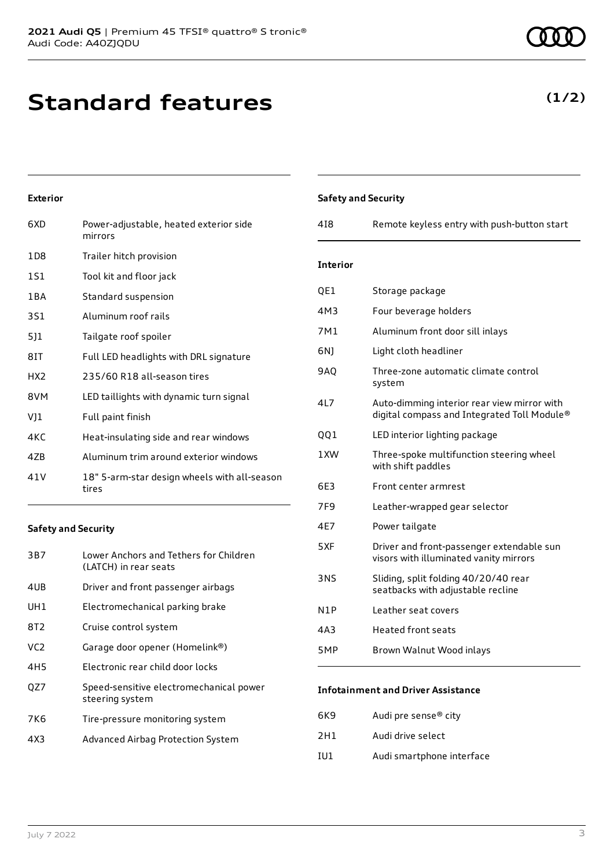# **Standard features**

### **Exterior**

| 6XD             | Power-adjustable, heated exterior side<br>mirrors     |
|-----------------|-------------------------------------------------------|
| 1D8             | Trailer hitch provision                               |
| 1S1             | Tool kit and floor jack                               |
| 1 B A           | Standard suspension                                   |
| 3S1             | Aluminum roof rails                                   |
| 5]1             | Tailgate roof spoiler                                 |
| 8IT             | Full LED headlights with DRL signature                |
| HX <sub>2</sub> | 235/60 R18 all-season tires                           |
| 8VM             | LED taillights with dynamic turn signal               |
| VJ1             | Full paint finish                                     |
| 4KC             | Heat-insulating side and rear windows                 |
| 47B             | Aluminum trim around exterior windows                 |
| 41 V            | 18" 5-arm-star design wheels with all-season<br>tires |

#### **Safety and Security**

| 3B7             | Lower Anchors and Tethers for Children<br>(LATCH) in rear seats |
|-----------------|-----------------------------------------------------------------|
| 4UB             | Driver and front passenger airbags                              |
| UH1             | Electromechanical parking brake                                 |
| 8T2             | Cruise control system                                           |
| VC <sub>2</sub> | Garage door opener (Homelink®)                                  |
| 4H <sub>5</sub> | Electronic rear child door locks                                |
| OZ7             | Speed-sensitive electromechanical power<br>steering system      |
| 7K6             | Tire-pressure monitoring system                                 |
| 4X3             | Advanced Airbag Protection System                               |
|                 |                                                                 |

| 418             | Remote keyless entry with push-button start                                                |
|-----------------|--------------------------------------------------------------------------------------------|
| <b>Interior</b> |                                                                                            |
| QE1             | Storage package                                                                            |
| 4M3             | Four beverage holders                                                                      |
| 7M1             | Aluminum front door sill inlays                                                            |
| 6N)             | Light cloth headliner                                                                      |
| <b>9AO</b>      | Three-zone automatic climate control<br>system                                             |
| 4L7             | Auto-dimming interior rear view mirror with<br>digital compass and Integrated Toll Module® |
| QQ1             | LED interior lighting package                                                              |
| 1XW             | Three-spoke multifunction steering wheel<br>with shift paddles                             |
| 6E3             | Front center armrest                                                                       |
| 7F9             | Leather-wrapped gear selector                                                              |
| 4E7             | Power tailgate                                                                             |
| 5XF             | Driver and front-passenger extendable sun<br>visors with illuminated vanity mirrors        |
| 3NS             | Sliding, split folding 40/20/40 rear<br>seatbacks with adjustable recline                  |
| N1P             | Leather seat covers                                                                        |
| 4A3             | <b>Heated front seats</b>                                                                  |
| 5MP             | Brown Walnut Wood inlays                                                                   |

| 6K9  | Audi pre sense <sup>®</sup> city |
|------|----------------------------------|
| 2H1  | Audi drive select                |
| TU 1 | Audi smartphone interface        |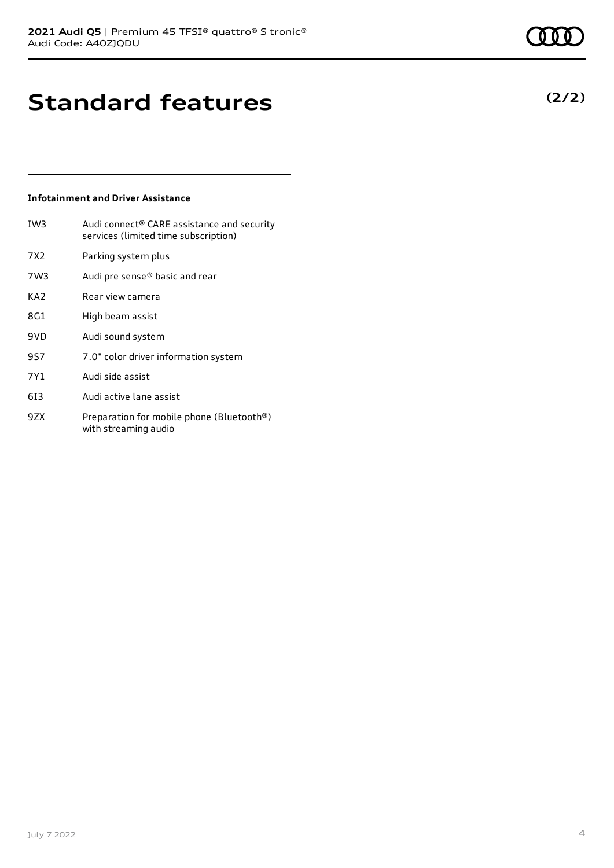# **Standard features**

#### **Infotainment and Driver Assistance**

- IW3 Audi connect® CARE assistance and security services (limited time subscription)
- 7X2 Parking system plus
- 7W3 Audi pre sense® basic and rear
- KA2 Rear view camera
- 8G1 High beam assist
- 9VD Audi sound system
- 9S7 7.0" color driver information system
- 7Y1 Audi side assist
- 6I3 Audi active lane assist
- 9ZX Preparation for mobile phone (Bluetooth®) with streaming audio

**(2/2)**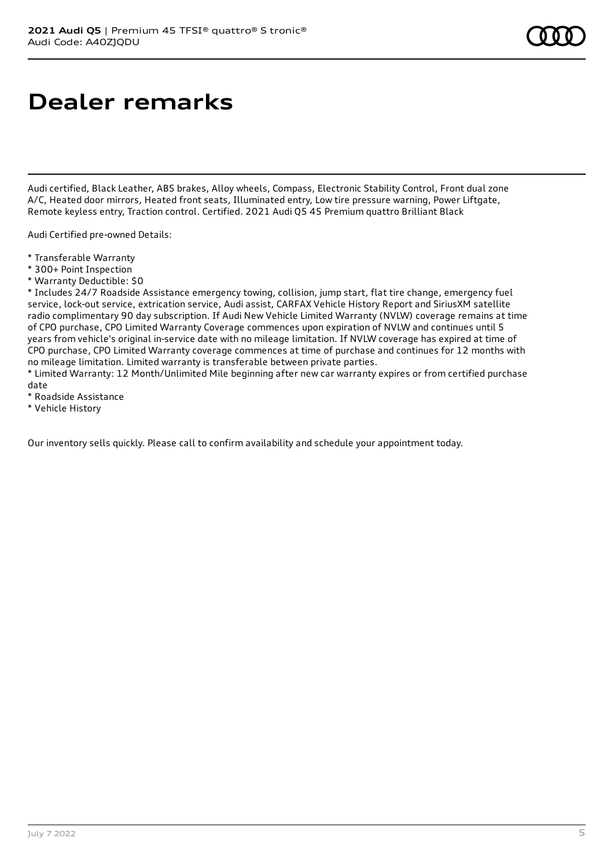# **Dealer remarks**

Audi certified, Black Leather, ABS brakes, Alloy wheels, Compass, Electronic Stability Control, Front dual zone A/C, Heated door mirrors, Heated front seats, Illuminated entry, Low tire pressure warning, Power Liftgate, Remote keyless entry, Traction control. Certified. 2021 Audi Q5 45 Premium quattro Brilliant Black

Audi Certified pre-owned Details:

- \* Transferable Warranty
- \* 300+ Point Inspection
- \* Warranty Deductible: \$0

\* Includes 24/7 Roadside Assistance emergency towing, collision, jump start, flat tire change, emergency fuel service, lock-out service, extrication service, Audi assist, CARFAX Vehicle History Report and SiriusXM satellite radio complimentary 90 day subscription. If Audi New Vehicle Limited Warranty (NVLW) coverage remains at time of CPO purchase, CPO Limited Warranty Coverage commences upon expiration of NVLW and continues until 5 years from vehicle's original in-service date with no mileage limitation. If NVLW coverage has expired at time of CPO purchase, CPO Limited Warranty coverage commences at time of purchase and continues for 12 months with no mileage limitation. Limited warranty is transferable between private parties.

\* Limited Warranty: 12 Month/Unlimited Mile beginning after new car warranty expires or from certified purchase date

- \* Roadside Assistance
- \* Vehicle History

Our inventory sells quickly. Please call to confirm availability and schedule your appointment today.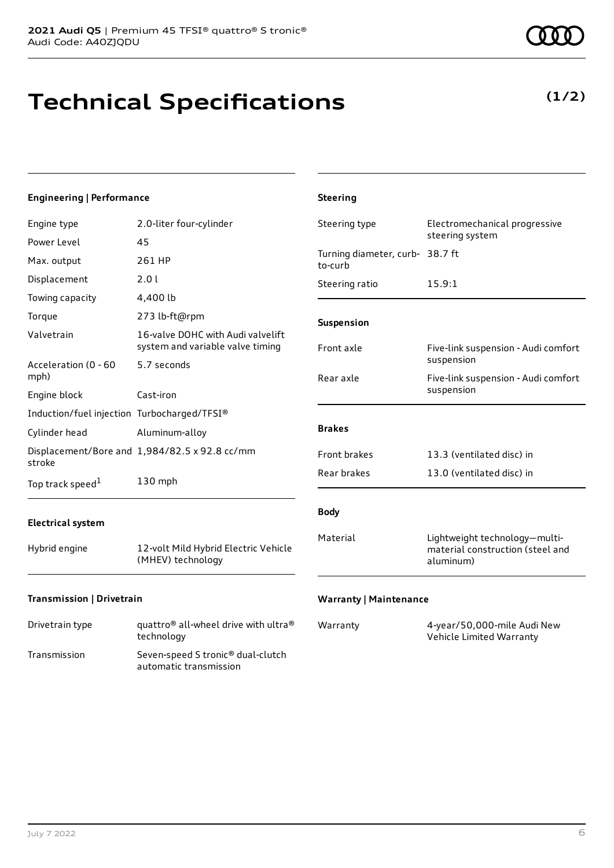# **Technical Specifications**

**(1/2)**

| <b>Engineering   Performance</b>            |                                                                       | <b>Steering</b>                            |                                                                                |
|---------------------------------------------|-----------------------------------------------------------------------|--------------------------------------------|--------------------------------------------------------------------------------|
| Engine type                                 | 2.0-liter four-cylinder                                               | Steering type                              | Electromechanical progressive                                                  |
| Power Level                                 | 45                                                                    |                                            | steering system                                                                |
| Max. output                                 | 261 HP                                                                | Turning diameter, curb- 38.7 ft<br>to-curb |                                                                                |
| Displacement                                | 2.0 l                                                                 | Steering ratio                             | 15.9:1                                                                         |
| Towing capacity                             | 4,400 lb                                                              |                                            |                                                                                |
| Torque                                      | 273 lb-ft@rpm                                                         | Suspension                                 |                                                                                |
| Valvetrain                                  | 16-valve DOHC with Audi valvelift<br>system and variable valve timing | Front axle                                 | Five-link suspension - Audi comfort                                            |
| Acceleration (0 - 60<br>mph)                | 5.7 seconds                                                           | Rear axle                                  | suspension<br>Five-link suspension - Audi comfort                              |
| Engine block                                | Cast-iron                                                             |                                            | suspension                                                                     |
| Induction/fuel injection Turbocharged/TFSI® |                                                                       |                                            |                                                                                |
| Cylinder head                               | Aluminum-alloy                                                        | <b>Brakes</b>                              |                                                                                |
| stroke                                      | Displacement/Bore and 1,984/82.5 x 92.8 cc/mm                         | Front brakes                               | 13.3 (ventilated disc) in                                                      |
| Top track speed $^1$                        | 130 mph                                                               | Rear brakes                                | 13.0 (ventilated disc) in                                                      |
| <b>Electrical system</b>                    |                                                                       | <b>Body</b>                                |                                                                                |
| Hybrid engine                               | 12-volt Mild Hybrid Electric Vehicle<br>(MHEV) technology             | Material                                   | Lightweight technology-multi-<br>material construction (steel and<br>aluminum) |
| Transmission   Drivetrain                   |                                                                       | <b>Warranty   Maintenance</b>              |                                                                                |

| Drivetrain type | quattro <sup>®</sup> all-wheel drive with ultra <sup>®</sup><br>technology |
|-----------------|----------------------------------------------------------------------------|
| Transmission    | Seven-speed S tronic® dual-clutch<br>automatic transmission                |

| Warranty | 4-year/50,000-mile Audi New |
|----------|-----------------------------|
|          | Vehicle Limited Warranty    |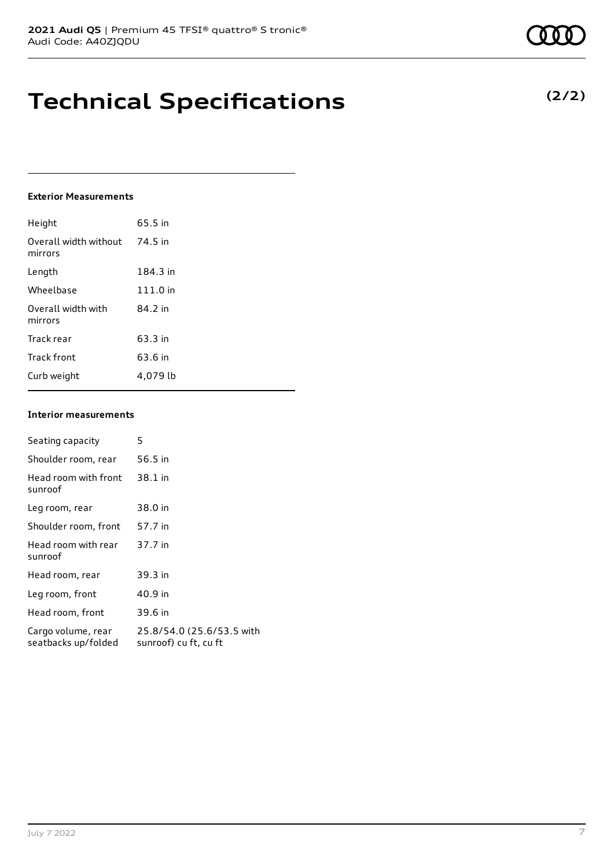# **Technical Specifications**

#### **Exterior Measurements**

| Height                           | 65.5 in  |
|----------------------------------|----------|
| Overall width without<br>mirrors | 74.5 in  |
| Length                           | 184.3 in |
| Wheelbase                        | 111.0 in |
| Overall width with<br>mirrors    | 84.2 in  |
| Track rear                       | 63.3 in  |
| Track front                      | 63.6 in  |
| Curb weight                      | 4.079 lb |

#### **Interior measurements**

| Seating capacity                          | 5                                                  |
|-------------------------------------------|----------------------------------------------------|
| Shoulder room, rear                       | 56.5 in                                            |
| Head room with front<br>sunroof           | 38.1 in                                            |
| Leg room, rear                            | 38.0 in                                            |
| Shoulder room, front                      | 57.7 in                                            |
| Head room with rear<br>sunroof            | 37.7 in                                            |
| Head room, rear                           | 39.3 in                                            |
| Leg room, front                           | 40.9 in                                            |
| Head room, front                          | 39.6 in                                            |
| Cargo volume, rear<br>seatbacks up/folded | 25.8/54.0 (25.6/53.5 with<br>sunroof) cu ft, cu ft |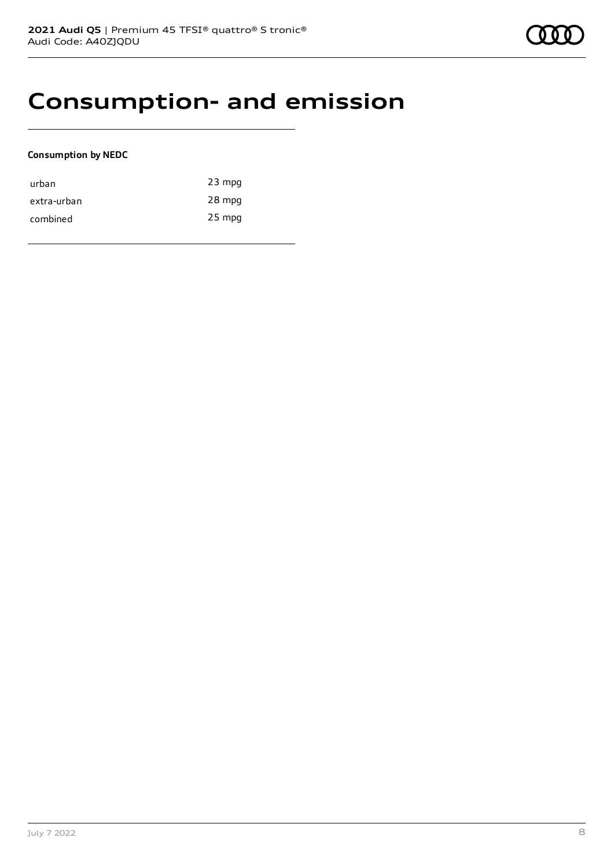### **Consumption- and emission**

#### **Consumption by NEDC**

| urban       | $23$ mpg |
|-------------|----------|
| extra-urban | 28 mpg   |
| combined    | 25 mpg   |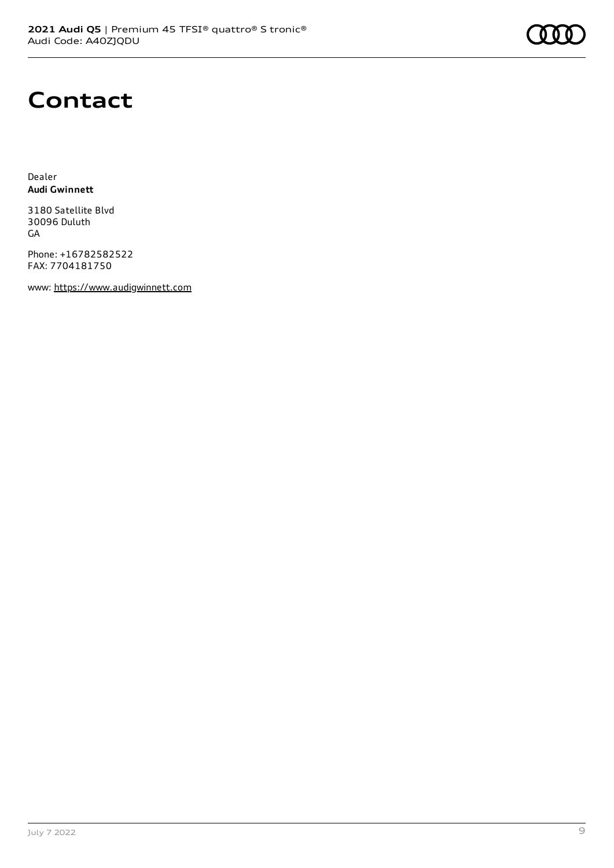

### **Contact**

Dealer **Audi Gwinnett**

3180 Satellite Blvd 30096 Duluth GA

Phone: +16782582522 FAX: 7704181750

www: [https://www.audigwinnett.com](https://www.audigwinnett.com/)